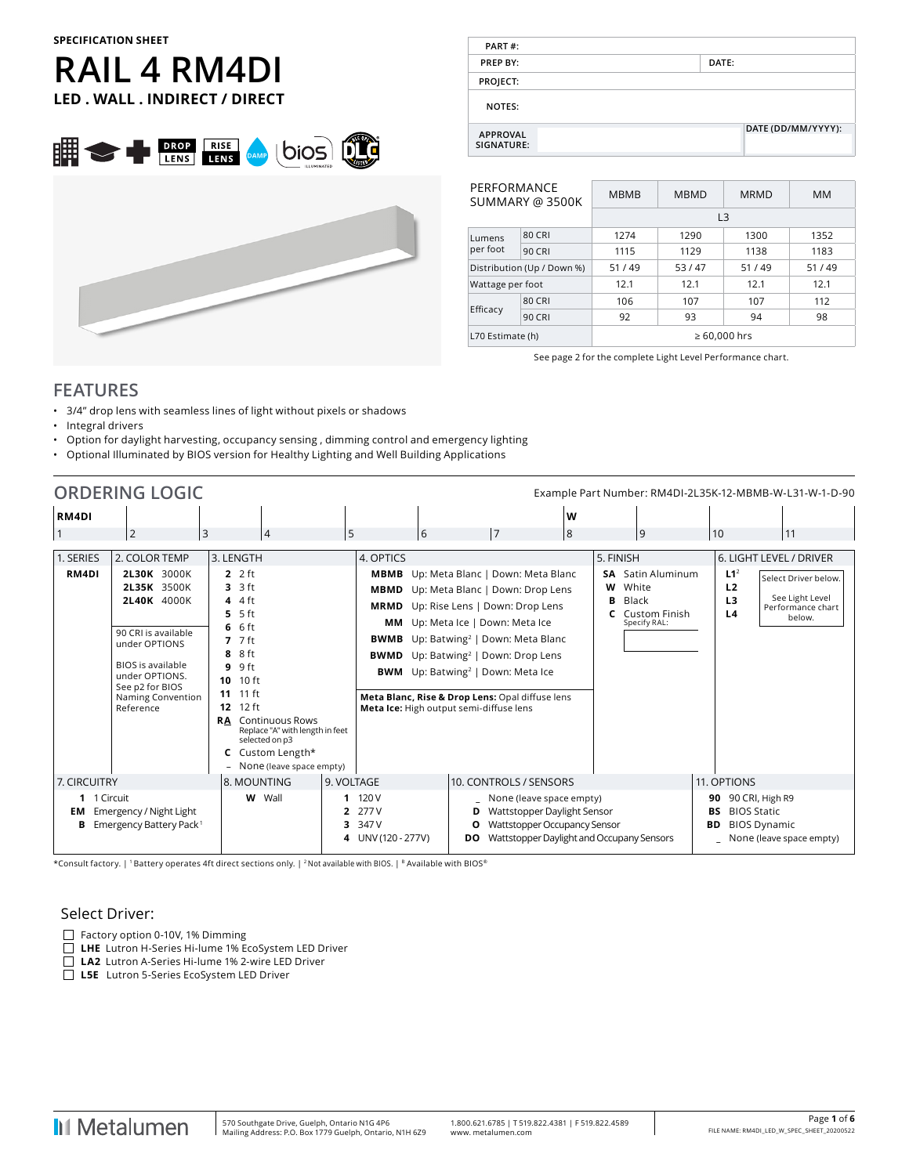### **SPECIFICATION SHEET**

# **RAIL 4 RM4DI LED . WALL . INDIRECT / DIRECT**





| PART#:                        |                    |
|-------------------------------|--------------------|
| <b>PREP BY:</b>               | DATE:              |
| PROJECT:                      |                    |
| <b>NOTES:</b>                 |                    |
| <b>APPROVAL</b><br>SIGNATURE: | DATE (DD/MM/YYYY): |

| PERFORMANCE        | SUMMARY @ 3500K            | <b>MBMB</b>       | <b>MBMD</b>    | <b>MRMD</b> | <b>MM</b> |  |  |  |
|--------------------|----------------------------|-------------------|----------------|-------------|-----------|--|--|--|
|                    |                            |                   | L <sub>3</sub> |             |           |  |  |  |
| Lumens             | 80 CRI                     | 1274              | 1290           | 1300        | 1352      |  |  |  |
| per foot           | 90 CRI                     | 1115              | 1129<br>1138   |             | 1183      |  |  |  |
|                    | Distribution (Up / Down %) | 51/49             | 53/47          | 51/49       | 51/49     |  |  |  |
| Wattage per foot   |                            | 12.1              | 12.1           | 12.1        | 12.1      |  |  |  |
|                    | <b>80 CRI</b>              | 106               | 107            | 107         | 112       |  |  |  |
| Efficacy<br>90 CRI |                            | 92                | 98<br>93<br>94 |             |           |  |  |  |
| L70 Estimate (h)   |                            | $\geq 60,000$ hrs |                |             |           |  |  |  |

See page 2 for the complete Light Level Performance chart.

### **FEATURES**

- 3/4" drop lens with seamless lines of light without pixels or shadows
- Integral drivers
- Option for daylight harvesting, occupancy sensing , dimming control and emergency lighting
- Optional Illuminated by BIOS version for Healthy Lighting and Well Building Applications

|                        | <b>ORDERING LOGIC</b>                                                                                                                                                                       |                                                                                                                                                                                                                                                                                          |            |                                                                                                                                                                                                                                                                                                                |                                                                                                                                                                                                                                                                                                                                                                                                                                               |   |                                                                          |                |                                               | Example Part Number: RM4DI-2L35K-12-MBMB-W-L31-W-1-D-90                |
|------------------------|---------------------------------------------------------------------------------------------------------------------------------------------------------------------------------------------|------------------------------------------------------------------------------------------------------------------------------------------------------------------------------------------------------------------------------------------------------------------------------------------|------------|----------------------------------------------------------------------------------------------------------------------------------------------------------------------------------------------------------------------------------------------------------------------------------------------------------------|-----------------------------------------------------------------------------------------------------------------------------------------------------------------------------------------------------------------------------------------------------------------------------------------------------------------------------------------------------------------------------------------------------------------------------------------------|---|--------------------------------------------------------------------------|----------------|-----------------------------------------------|------------------------------------------------------------------------|
| RM4DI                  |                                                                                                                                                                                             |                                                                                                                                                                                                                                                                                          |            |                                                                                                                                                                                                                                                                                                                |                                                                                                                                                                                                                                                                                                                                                                                                                                               | W |                                                                          |                |                                               |                                                                        |
| $\vert$ 1              | $\overline{2}$<br>3                                                                                                                                                                         | $\overline{4}$                                                                                                                                                                                                                                                                           | 5          | 6                                                                                                                                                                                                                                                                                                              | 7                                                                                                                                                                                                                                                                                                                                                                                                                                             | 8 | 9                                                                        |                | 10                                            | 11                                                                     |
| 1. SERIES              | 2. COLOR TEMP                                                                                                                                                                               | 3. LENGTH                                                                                                                                                                                                                                                                                |            | 4. OPTICS                                                                                                                                                                                                                                                                                                      |                                                                                                                                                                                                                                                                                                                                                                                                                                               |   | 5. FINISH                                                                |                |                                               | 6. LIGHT LEVEL / DRIVER                                                |
| RM4DI                  | 2L30K 3000K<br>2L35K 3500K<br>2L40K 4000K<br>90 CRI is available<br>under OPTIONS<br><b>BIOS</b> is available<br>under OPTIONS.<br>See p2 for BIOS<br><b>Naming Convention</b><br>Reference | 2f<br>$3.3$ ft<br>4 $4$ ft<br>5 ft<br>5.<br>6 ft<br>6<br>$7.7$ ft<br>8 ft<br>8<br>9 ft<br>9<br>$10$ ft<br>10<br>11 11 ft<br>$12$ ft<br>12 <sup>2</sup><br><b>RA</b> Continuous Rows<br>Replace "A" with length in feet<br>selected on p3<br>C Custom Length*<br>None (leave space empty) |            |                                                                                                                                                                                                                                                                                                                | MBMB Up: Meta Blanc   Down: Meta Blanc<br>MBMD Up: Meta Blanc   Down: Drop Lens<br><b>MRMD</b> Up: Rise Lens   Down: Drop Lens<br>MM Up: Meta Ice   Down: Meta Ice<br><b>BWMB</b> Up: Batwing <sup>2</sup>   Down: Meta Blanc<br><b>BWMD</b> Up: Batwing <sup>2</sup>   Down: Drop Lens<br><b>BWM</b> Up: Batwing <sup>2</sup>   Down: Meta Ice<br>Meta Blanc, Rise & Drop Lens: Opal diffuse lens<br>Meta Ice: High output semi-diffuse lens |   | SA<br>White<br>w<br>Black<br>в<br><b>C</b> Custom Finish<br>Specify RAL: | Satin Aluminum | L1 <sup>2</sup><br>L2<br>L <sub>3</sub><br>L4 | Select Driver below.<br>See Light Level<br>Performance chart<br>below. |
| 7. CIRCUITRY           |                                                                                                                                                                                             | 8. MOUNTING                                                                                                                                                                                                                                                                              | 9. VOLTAGE |                                                                                                                                                                                                                                                                                                                | 10. CONTROLS / SENSORS                                                                                                                                                                                                                                                                                                                                                                                                                        |   |                                                                          |                | 11. OPTIONS                                   |                                                                        |
| 1 1 Circuit<br>EM<br>В | Emergency / Night Light<br>Emergency Battery Pack <sup>1</sup>                                                                                                                              | W Wall                                                                                                                                                                                                                                                                                   | 3.         | 120 V<br>90 90 CRI, High R9<br>None (leave space empty)<br>277 V<br>Wattstopper Daylight Sensor<br><b>BIOS Static</b><br>BS<br>347 V<br>Wattstopper Occupancy Sensor<br><b>BIOS Dynamic</b><br>О<br>ВD<br>Wattstopper Daylight and Occupany Sensors<br>4 UNV (120 - 277V)<br>_ None (leave space empty)<br>DO. |                                                                                                                                                                                                                                                                                                                                                                                                                                               |   |                                                                          |                |                                               |                                                                        |

\*Consult factory. | 1 Battery operates 4ft direct sections only. | 2 Not available with BIOS. | B Available with BIOS®

### Select Driver:

- $\Box$  Factory option 0-10V, 1% Dimming
- **LHE** Lutron H-Series Hi-lume 1% EcoSystem LED Driver
- **LA2** Lutron A-Series Hi-lume 1% 2-wire LED Driver
- **L5E** Lutron 5-Series EcoSystem LED Driver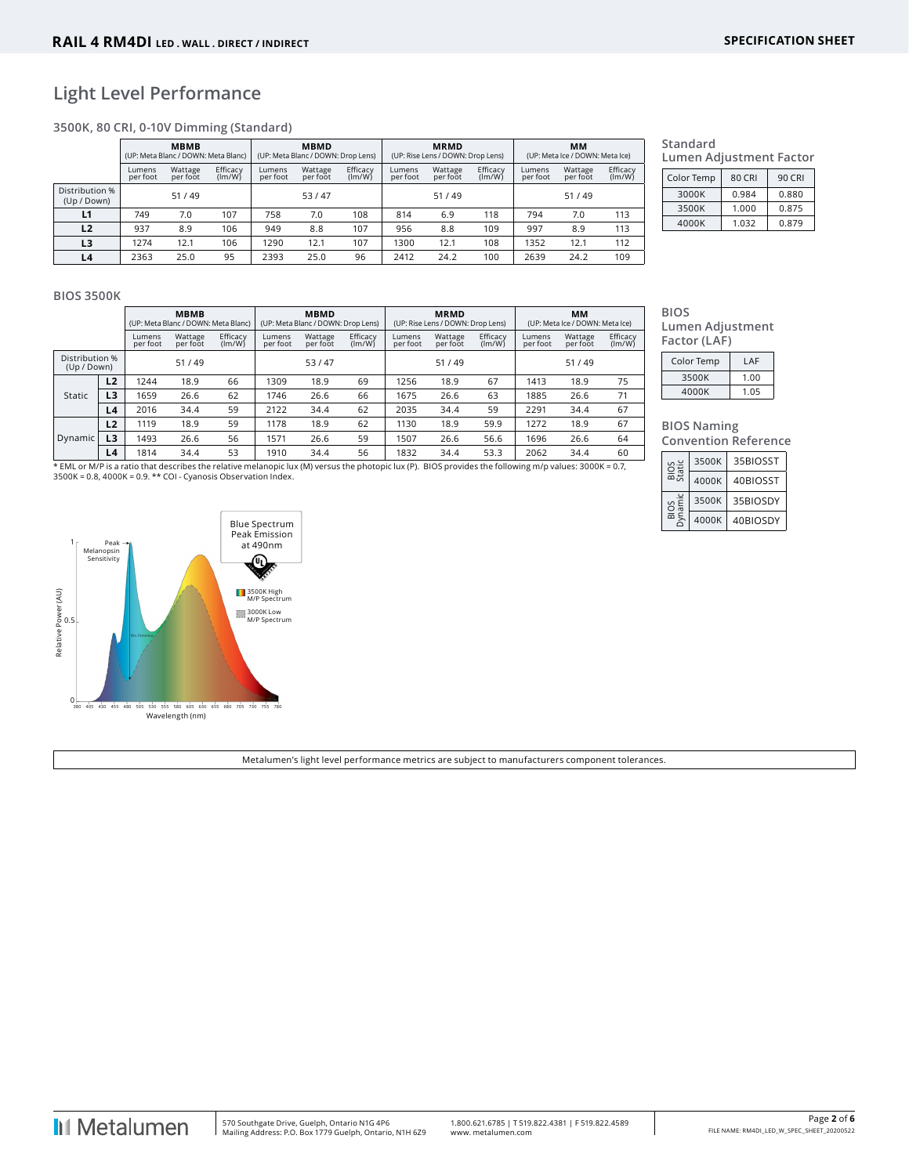## **Light Level Performance**

**3500K, 80 CRI, 0-10V Dimming (Standard)**

|                               |                    | <b>MBMB</b><br>(UP: Meta Blanc / DOWN: Meta Blanc) |                    |                    | <b>MBMD</b><br>(UP: Meta Blanc / DOWN: Drop Lens) |                    |                    | <b>MRMD</b><br>(UP: Rise Lens / DOWN: Drop Lens) |                    |                    | MМ<br>(UP: Meta Ice / DOWN: Meta Ice) |                    |  |
|-------------------------------|--------------------|----------------------------------------------------|--------------------|--------------------|---------------------------------------------------|--------------------|--------------------|--------------------------------------------------|--------------------|--------------------|---------------------------------------|--------------------|--|
|                               | Lumens<br>per foot | Wattage<br>per foot                                | Efficacy<br>(lm/W) | Lumens<br>per foot | Wattage<br>per foot                               | Efficacy<br>(lm/W) | Lumens<br>per foot | Wattage<br>per foot                              | Efficacy<br>(lm/W) | Lumens<br>per foot | Wattage<br>per foot                   | Efficacy<br>(lm/W) |  |
| Distribution %<br>(Up / Down) |                    | 51/49                                              |                    |                    | 53/47                                             |                    |                    | 51/49                                            |                    |                    | 51/49                                 |                    |  |
| L1                            | 749                | 7.0                                                | 107                | 758                | 7.0                                               | 108                | 814                | 6.9                                              | 118                | 794                | 7.0                                   | 113                |  |
| L2                            | 937                | 8.9                                                | 106                | 949                | 8.8                                               | 107                | 956                | 8.8                                              | 109                | 997                | 8.9                                   | 113                |  |
| L <sub>3</sub>                | 1274               | 12.1                                               | 106                | 1290               | 12.1                                              | 107                | 1300               | 12.1                                             | 108                | 1352               | 12.1                                  | 112                |  |
| L <sub>4</sub>                | 2363               | 25.0                                               | 95                 | 2393               | 25.0                                              | 96                 | 2412               | 24.2                                             | 100                | 2639               | 24.2                                  | 109                |  |

#### **Standard Lumen Adjustment Factor**

| Color Temp | 80 CRI | 90 CRI |
|------------|--------|--------|
| 3000K      | 0.984  | 0.880  |
| 3500K      | 1.000  | 0.875  |
| 4000K      | 1.032  | 0.879  |

#### **BIOS 3500K**

|                               |                |                    | <b>MBMB</b><br>(UP: Meta Blanc / DOWN: Meta Blanc) |                    |                    | <b>MBMD</b><br>(UP: Meta Blanc / DOWN: Drop Lens) |                    | <b>MRMD</b><br>(UP: Rise Lens / DOWN: Drop Lens) |                     |                    | MМ<br>(UP: Meta Ice / DOWN: Meta Ice) |                     |                    |
|-------------------------------|----------------|--------------------|----------------------------------------------------|--------------------|--------------------|---------------------------------------------------|--------------------|--------------------------------------------------|---------------------|--------------------|---------------------------------------|---------------------|--------------------|
|                               |                | Lumens<br>per foot | Wattage<br>per foot                                | Efficacy<br>(lm/W) | Lumens<br>per foot | Wattage<br>per foot                               | Efficacy<br>(lm/W) | Lumens<br>per foot                               | Wattage<br>per foot | Efficacy<br>(lm/W) | Lumens<br>per foot                    | Wattage<br>per foot | Efficacy<br>(lm/W) |
| Distribution %<br>(Up / Down) |                |                    | 51/49                                              |                    |                    | 53/47                                             |                    |                                                  | 51/49               |                    |                                       | 51/49               |                    |
|                               | L2             | 1244               | 18.9                                               | 66                 | 1309               | 18.9                                              | 69                 | 1256                                             | 18.9                | 67                 | 1413                                  | 18.9                | 75                 |
| Static                        | L <sub>3</sub> | 1659               | 26.6                                               | 62                 | 1746               | 26.6                                              | 66                 | 1675                                             | 26.6                | 63                 | 1885                                  | 26.6                | 71                 |
|                               | L4             | 2016               | 34.4                                               | 59                 | 2122               | 34.4                                              | 62                 | 2035                                             | 34.4                | 59                 | 2291                                  | 34.4                | 67                 |
|                               | L2             | 1119               | 18.9                                               | 59                 | 1178               | 18.9                                              | 62                 | 1130                                             | 18.9                | 59.9               | 1272                                  | 18.9                | 67                 |
| <b>Dynamic</b>                | L3             | 1493               | 26.6                                               | 56                 | 1571               | 26.6                                              | 59                 | 1507                                             | 26.6                | 56.6               | 1696                                  | 26.6                | 64                 |
|                               | L4             | 1814               | 34.4                                               | 53                 | 1910               | 34.4                                              | 56                 | 1832                                             | 34.4                | 53.3               | 2062                                  | 34.4                | 60                 |

\* EML or M/P is a ratio that describes the relative melanopic lux (M) versus the photopic lux (P). BIOS provides the following m/p values: 3000K = 0.7,<br>3500K = 0.8, 4000K = 0.9. \*\* COI - Cyanosis Observation Index.



Metalumen's light level performance metrics are subject to manufacturers component tolerances.

# **BIOS**

**Lumen Adjustment Factor (LAF)**

| Color Temp | LAF  |
|------------|------|
| 3500K      | 1.00 |
| 4000K      | 1.05 |

# **BIOS Naming**

| <b>Convention Reference</b> |  |
|-----------------------------|--|
|                             |  |

| ⊻ົນ        | 3500K | 35BIOSST |
|------------|-------|----------|
|            | 4000K | 40BIOSST |
| os<br>amic | 3500K | 35BIOSDY |
|            | 4000K | 40BIOSDY |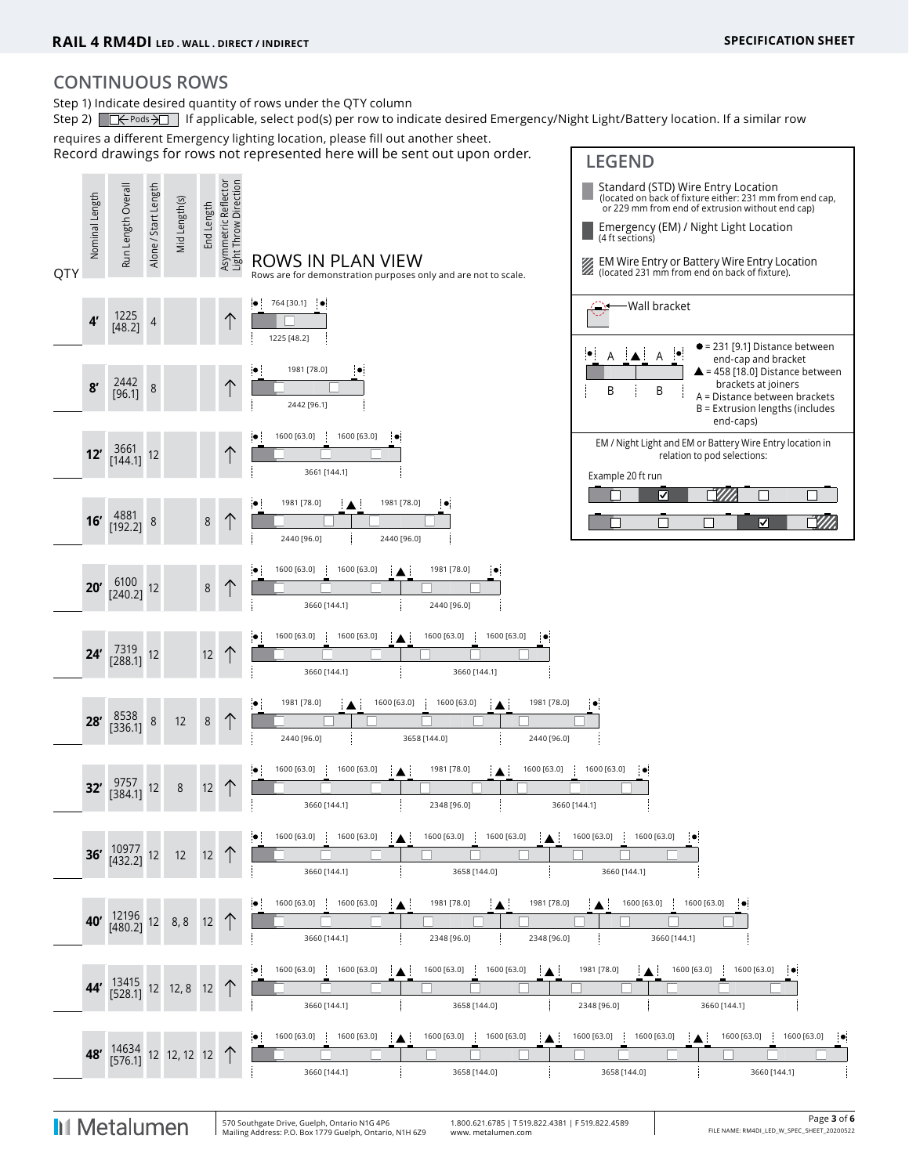# **CONTINUOUS ROWS**

Step 1) Indicate desired quantity of rows under the QTY column

Step 2)  $\Box \leftarrow$  Pods  $\rightarrow \Box$  If applicable, select pod(s) per row to indicate desired Emergency/Night Light/Battery location. If a similar row

requires a different Emergency lighting location, please fill out another sheet.

Record drawings for rows not represented here will be sent out upon order. **LEGEND** 



**I**II Metalumen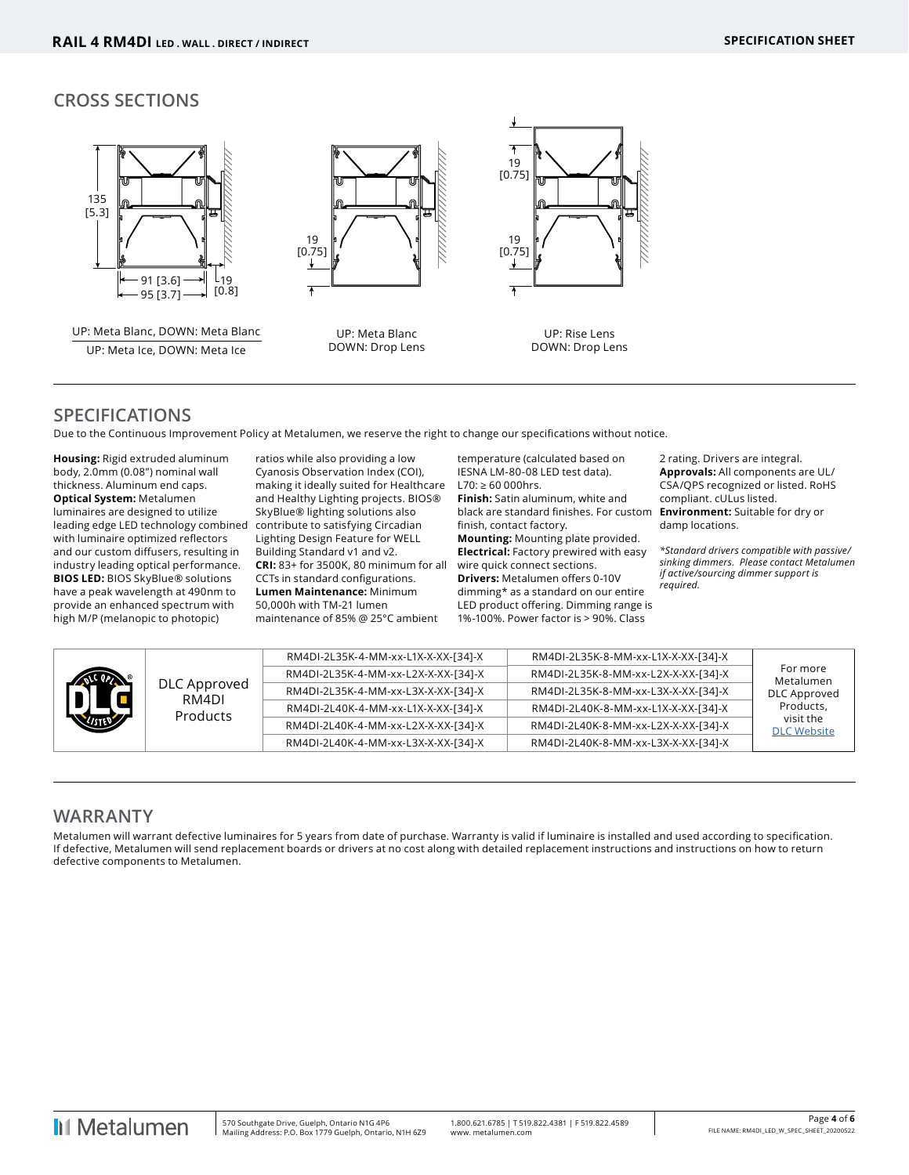## **CROSS SECTIONS**



## **SPECIFICATIONS**

Due to the Continuous Improvement Policy at Metalumen, we reserve the right to change our specifications without notice.

**Housing:** Rigid extruded aluminum body, 2.0mm (0.08") nominal wall thickness. Aluminum end caps. **Optical System:** Metalumen luminaires are designed to utilize leading edge LED technology combined with luminaire optimized reflectors and our custom diffusers, resulting in industry leading optical performance. **BIOS LED:** BIOS SkyBlue® solutions have a peak wavelength at 490nm to provide an enhanced spectrum with high M/P (melanopic to photopic)

ratios while also providing a low Cyanosis Observation Index (COI), making it ideally suited for Healthcare and Healthy Lighting projects. BIOS® SkyBlue® lighting solutions also contribute to satisfying Circadian Lighting Design Feature for WELL Building Standard v1 and v2. **CRI:** 83+ for 3500K, 80 minimum for all CCTs in standard configurations. **Lumen Maintenance:** Minimum 50,000h with TM-21 lumen maintenance of 85% @ 25°C ambient

temperature (calculated based on IESNA LM-80-08 LED test data). L70: ≥ 60 000hrs. **Finish:** Satin aluminum, white and black are standard finishes. For custom finish, contact factory. **Mounting:** Mounting plate provided. **Electrical:** Factory prewired with easy wire quick connect sections. **Drivers:** Metalumen offers 0-10V dimming\* as a standard on our entire LED product offering. Dimming range is 1%-100%. Power factor is > 90%. Class

2 rating. Drivers are integral. **Approvals:** All components are UL/ CSA/QPS recognized or listed. RoHS compliant. cULus listed. **Environment:** Suitable for dry or damp locations.

*\*Standard drivers compatible with passive/ sinking dimmers. Please contact Metalumen if active/sourcing dimmer support is required.*

|     |                       | RM4DI-2L35K-4-MM-xx-L1X-X-XX-[34]-X | RM4DI-2L35K-8-MM-xx-L1X-X-XX-[34]-X |                                 |
|-----|-----------------------|-------------------------------------|-------------------------------------|---------------------------------|
|     |                       | RM4DI-2L35K-4-MM-xx-L2X-X-XX-[34]-X | RM4DI-2L35K-8-MM-xx-L2X-X-XX-[34]-X | For more<br>Metalumen           |
| THE | DLC Approved<br>RM4DI | RM4DI-2L35K-4-MM-xx-L3X-X-XX-[34]-X | RM4DI-2L35K-8-MM-xx-L3X-X-XX-[34]-X | <b>DLC Approved</b>             |
|     | Products              | RM4DI-2L40K-4-MM-xx-L1X-X-XX-[34]-X | RM4DI-2L40K-8-MM-xx-L1X-X-XX-[34]-X | Products,                       |
|     |                       | RM4DI-2L40K-4-MM-xx-L2X-X-XX-[34]-X | RM4DI-2L40K-8-MM-xx-L2X-X-XX-[34]-X | visit the<br><b>DLC Website</b> |
|     |                       | RM4DI-2L40K-4-MM-xx-L3X-X-XX-[34]-X | RM4DI-2L40K-8-MM-xx-L3X-X-XX-[34]-X |                                 |

## **WARRANTY**

Metalumen will warrant defective luminaires for 5 years from date of purchase. Warranty is valid if luminaire is installed and used according to specification. If defective, Metalumen will send replacement boards or drivers at no cost along with detailed replacement instructions and instructions on how to return defective components to Metalumen.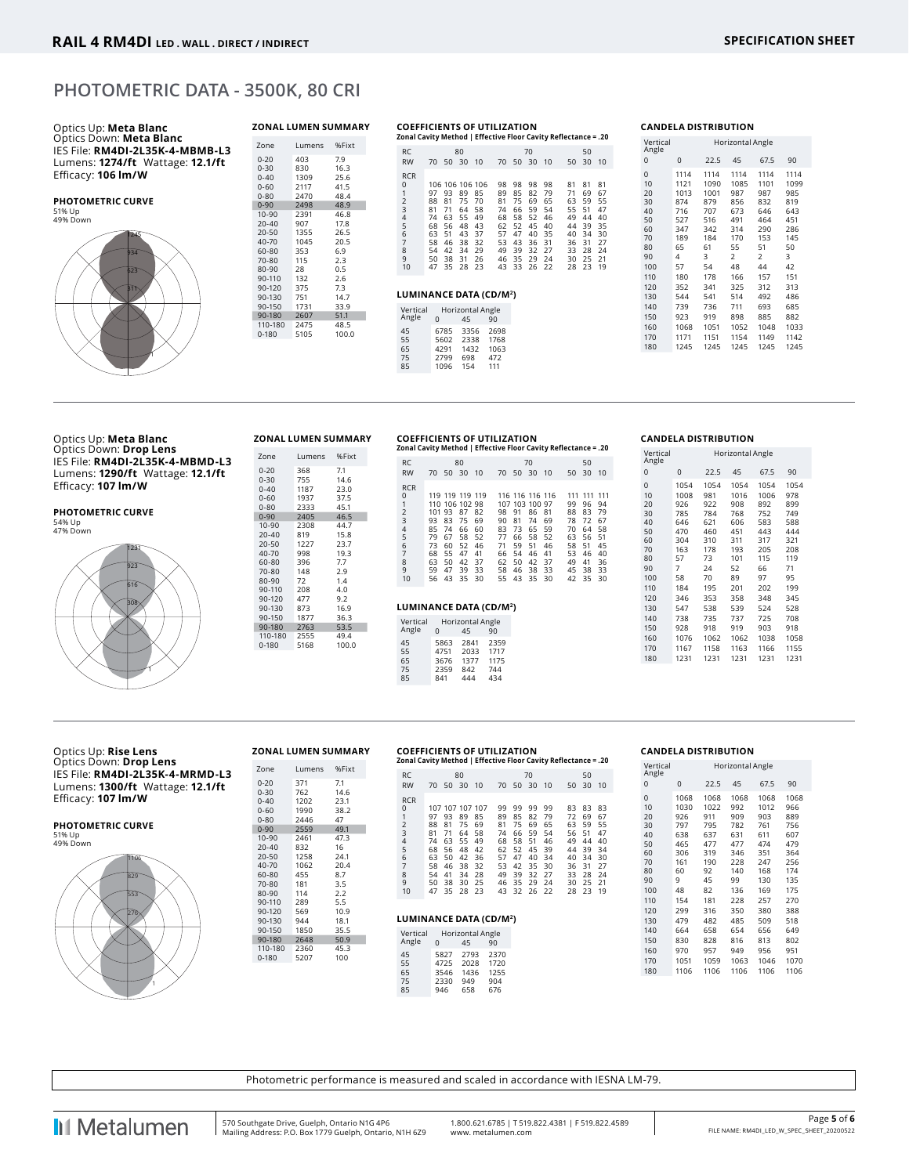## **PHOTOMETRIC DATA - 3500K, 80 CRI**



#### **COEFFICIENTS OF UTILIZATION**

|                                                                                        |                                                          |                                                                             |                                                          |                                                          |                                                                |                                                                |                                                                |                                                                | Zonal Cavity Method   Effective Floor Cavity Reflectance = .20  |                                                                |                                                                |
|----------------------------------------------------------------------------------------|----------------------------------------------------------|-----------------------------------------------------------------------------|----------------------------------------------------------|----------------------------------------------------------|----------------------------------------------------------------|----------------------------------------------------------------|----------------------------------------------------------------|----------------------------------------------------------------|-----------------------------------------------------------------|----------------------------------------------------------------|----------------------------------------------------------------|
| <b>RC</b><br><b>RW</b>                                                                 |                                                          | 70 50 30                                                                    | 80                                                       | 10                                                       | 70                                                             |                                                                | 70<br>50 30                                                    | -10                                                            | 50                                                              | 50<br>30                                                       | 10                                                             |
| <b>RCR</b><br>0<br>1<br>$\frac{2}{3}$<br>4<br>5<br>6<br>$\overline{7}$<br>8<br>9<br>10 | 97<br>88<br>81<br>74<br>68<br>63<br>58<br>54<br>50<br>47 | 106 106 106 106<br>93<br>81<br>71<br>63<br>56<br>51<br>46<br>42<br>38<br>35 | 89<br>75<br>64<br>55<br>48<br>43<br>38<br>34<br>31<br>28 | 85<br>70<br>58<br>49<br>43<br>37<br>32<br>29<br>26<br>23 | 98<br>89<br>81<br>74<br>68<br>62<br>57<br>53<br>49<br>46<br>43 | 98<br>85<br>75<br>66<br>58<br>52<br>47<br>43<br>39<br>35<br>33 | 98<br>82<br>69<br>59<br>52<br>45<br>40<br>36<br>32<br>29<br>26 | 98<br>79<br>65<br>54<br>46<br>40<br>35<br>31<br>27<br>24<br>22 | 81<br>71<br>63<br>55.<br>49<br>44<br>40<br>36<br>33<br>30<br>28 | 81<br>69<br>59<br>51<br>44<br>39<br>34<br>31<br>28<br>25<br>23 | 81<br>67<br>55<br>47<br>40<br>35<br>30<br>27<br>24<br>21<br>19 |
| LUMINANCE DATA (CD/M2)                                                                 |                                                          |                                                                             |                                                          |                                                          |                                                                |                                                                |                                                                |                                                                |                                                                 |                                                                |                                                                |
| Vertical<br>Angle                                                                      | $\Omega$                                                 | Horizontal Angle                                                            | 45                                                       |                                                          | 90                                                             |                                                                |                                                                |                                                                |                                                                 |                                                                |                                                                |

#### Vertical Angle<br>0 Horizontal Angle 0 0 22.5 45 67.5 90 0 1114 1114 1114 1114 1114 10 1121 1090 1085 1101 1099 20 1013 1001 987 987 985 30 874 879 856 832 819 40 716 707 673 6832 819<br>40 716 707 673 646 643<br>50 527 516 491 464 451 50 527 516 491 464 451 60 347 342 314 290 286 70 189 184 170 153 145 80 65 61 55 51 50 90 4 3 2 2 3 100 57 54 48 44 42 110 180 178 166 157 151 120 352 341 325 312 313 130 544 541 514 492 486 140 739 736 711 693 685 150 923 919 898 885 882 160 1068 1051 1052 1048 1033 170 1171 1151 180 1245 1245 1245 1245 1245

**CANDELA DISTRIBUTION**

#### Optics Up: **Meta Blanc** Optics Down: **Drop Lens** IES File: **RM4DI-2L35K-4-MBMD-L3** Lumens: **1290/ft** Wattage: **12.1/ft** Efficacy: **107 lm/W**

| <b>PHOTOMETRIC CURVE</b> |
|--------------------------|
| 54% Up                   |
| 47% Down                 |



#### 0-30 755 14.6<br>0-40 1187 23.0<br>0-60 1937 37.5 0-40 1187 23.0 0-60 1937 37.5 0-80 2333 45.1 0-90 2405 46.5 10-90 2308 44.7 20-40 819 15.8<br>
20-50 1227 23.7<br>
40-70 998 19.3 20-50 1227<br>40-70 998 40-70 998 19.3<br>60-80 396 7.7<br>70-80 148 2.9 396<br>148  $70 - 80$ 80-90 72 1.4<br>90-110 208 4.0<br>90-120 477 9.2 90-110 208 4.0 90-120 477 9.2 90-130 873 16.9 90-150 1877 36.3 90-180 2763 53.5 110-180 2555 49.4  $0-180$

Zone Lumens %Fixt 0-20 368 7.1<br>0-30 755 14.6

#### **COEFFICIENTS OF UTILIZATION ZONAL LUMEN SUMMARY**

45 6785 3356 2698<br>55 5602 2338 1768<br>65 4291 1432 1063<br>75 2799 698 472 55 5602 2338 1768 65 4291 1432 1063 15 2799 2338 1768<br>75 2799 698 472<br>75 2799 698 472<br>85 1096 154 111 1096

| 20. = Zonal Cavity Method   Effective Floor Cavity Reflectance |    |           |                 |    |    |          |                 |    |       |             |    |
|----------------------------------------------------------------|----|-----------|-----------------|----|----|----------|-----------------|----|-------|-------------|----|
| <b>RC</b>                                                      |    |           | 80              |    |    |          | 70              |    |       | 50          |    |
| <b>RW</b>                                                      |    | 70 50 30  |                 | 10 |    | 70 50 30 |                 | 10 | 50 30 |             | 10 |
| <b>RCR</b>                                                     |    |           |                 |    |    |          |                 |    |       |             |    |
| 0                                                              |    |           | 119 119 119 119 |    |    |          | 116 116 116 116 |    |       | 111 111 111 |    |
| 1                                                              |    |           | 110 106 102 98  |    |    |          | 107 103 100 97  |    | 99    | 96          | 94 |
| $\frac{2}{3}$                                                  |    | 101 93 87 |                 | 82 | 98 | 91       | 86              | 81 | 88    | 83          | 79 |
|                                                                | 93 | 83        | 75              | 69 | 90 | 81       | 74              | 69 | 78    | 72          | 67 |
| $\frac{4}{5}$                                                  | 85 | - 74      | 66              | 60 | 83 | 73       | 65              | 59 | 70    | 64          | 58 |
|                                                                | 79 | 67        | 58              | 52 | 77 | 66       | 58              | 52 | 63    | 56          | 51 |
| 6                                                              | 73 | 60        | 52              | 46 | 71 | 59       | 51              | 46 | 58    | 51          | 45 |
| $\overline{7}$                                                 | 68 | 55        | 47              | 41 | 66 | 54       | 46              | 41 | 53    | 46          | 40 |
| 8                                                              | 63 | 50        | 42              | 37 | 62 | 50       | 42              | 37 | 49    | 41          | 36 |
| 9                                                              | 59 | 47        | 39              | 33 | 58 | 46       | 38              | 33 | 45    | 38          | 33 |
| 10                                                             | 56 | 43        | 35              | 30 | 55 | 43       | 35              | 30 | 42    | -35         | 30 |

## **LUMINANCE DATA (CD/M2)** <sup>308</sup>

| Vertical<br>Angle | U            | Horizontal Angle<br>45 | 90           |
|-------------------|--------------|------------------------|--------------|
| 45<br>55          | 5863<br>4751 | 2841<br>2033           | 2359<br>1717 |
| 65                | 3676         | 1377                   | 1175         |
| 75                | 2359         | 842                    | 744          |
| 85                | 841          | 444                    | 434          |

#### **CANDELA DISTRIBUTION**

| Vertical<br>Angle                                                                   |                                                                                              |                                                                                              | Horizontal Angle                                                                               |                                                                                                |                                                                                               |
|-------------------------------------------------------------------------------------|----------------------------------------------------------------------------------------------|----------------------------------------------------------------------------------------------|------------------------------------------------------------------------------------------------|------------------------------------------------------------------------------------------------|-----------------------------------------------------------------------------------------------|
| 0                                                                                   | 0                                                                                            | 22.5                                                                                         | 45                                                                                             | 67.5                                                                                           | 90                                                                                            |
| 0<br>10<br>20<br>30<br>40<br>50<br>60<br>70<br>80<br>90<br>100<br>110<br>120<br>130 | 1054<br>1008<br>926<br>785<br>646<br>470<br>304<br>163<br>57<br>7<br>58<br>184<br>346<br>547 | 1054<br>981<br>922<br>784<br>621<br>460<br>310<br>178<br>73<br>24<br>70<br>195<br>353<br>538 | 1054<br>1016<br>908<br>768<br>606<br>451<br>311<br>193<br>101<br>52<br>89<br>201<br>358<br>539 | 1054<br>1006<br>892<br>752<br>583<br>443<br>317<br>205<br>115<br>66<br>97<br>202<br>348<br>524 | 1054<br>978<br>899<br>749<br>588<br>444<br>321<br>208<br>119<br>71<br>95<br>199<br>345<br>528 |
| 140                                                                                 | 738                                                                                          | 735                                                                                          | 737                                                                                            | 725                                                                                            | 708                                                                                           |
| 150                                                                                 | 928                                                                                          | 918                                                                                          | 919                                                                                            | 903                                                                                            | 918                                                                                           |
| 160                                                                                 | 1076                                                                                         | 1062                                                                                         | 1062                                                                                           | 1038                                                                                           | 1058                                                                                          |
| 170                                                                                 | 1167                                                                                         | 1158                                                                                         | 1163                                                                                           | 1166                                                                                           | 1155                                                                                          |
| 180                                                                                 | 1231                                                                                         | 1231                                                                                         | 1231                                                                                           | 1231                                                                                           | 1231                                                                                          |
|                                                                                     |                                                                                              |                                                                                              |                                                                                                |                                                                                                |                                                                                               |

#### Optics Up: **Rise Lens** Optics Down: **Drop Lens** IES File: **RM4DI-2L35K-4-MRMD-L3** Lumens: **1300/ft** Wattage: **12.1/ft** Efficacy: **107 lm/W**

#### **PHOTOMETRIC CURVE** 51% Up

49% Down



#### **COEFFICIENTS OF UTILIZATION ZONAL LUMEN SUMMARY**

Zone Lumens %Fixt 0-20 371 7.1 0-30 762 14.6<br>
0-40 1202 23.1<br>
0-60 1990 38.2<br>
0-80 2446 47 0-40 1202 23.1 0-60 1990 38.2 0-80 2446 47 0-90 2559 49.1 10-90 2461 47.3 20-40 832 16<br>20-50 1258 24.1 1258 24.1<br>1062 20.4 40-70 1062 20.<br>60-80 455 8.7 1062 20.<br>455 8.7<br>181 3.5<br>114 2.2 70-80 181 3.5 80-90 114 2.2 90-110 289 5.5<br>90-120 569 10.9<br>90-130 944 18.1 90-120 569 10.9 90-130 944 18.1 90-150 1850 35.5 90-180 2648 50.9 110-180 2360 45.3 0-180 5207 100

| <b>RC</b>      |                         |    |          |             |                                                              |    |    |                  |                                             | 50 |                                                                                                 |
|----------------|-------------------------|----|----------|-------------|--------------------------------------------------------------|----|----|------------------|---------------------------------------------|----|-------------------------------------------------------------------------------------------------|
| <b>RW</b>      | 70                      |    |          |             |                                                              |    |    |                  |                                             |    |                                                                                                 |
| <b>RCR</b>     |                         |    |          |             |                                                              |    |    |                  |                                             |    |                                                                                                 |
|                |                         |    |          |             |                                                              |    |    |                  |                                             |    | 83                                                                                              |
|                | 97                      | 93 | 89       | 85          | 89                                                           | 85 | 82 | 79               | 72                                          | 69 | 67                                                                                              |
| $\overline{2}$ | 88                      | 81 | 75       | 69          | 81                                                           | 75 | 69 | 65               | 63                                          | 59 | 55                                                                                              |
| 3              | 81                      | 71 | 64       |             | 74                                                           | 66 | 59 |                  | 56                                          | 51 | 47                                                                                              |
|                | 74                      | 63 | 55       | 49          | 68                                                           | 58 | 51 | 46               | 49                                          | 44 | 40                                                                                              |
|                | 68                      | 56 | 48       | 42          | 62                                                           | 52 | 45 | 39               | 44                                          | 39 | 34                                                                                              |
| 6              | 63                      | 50 | 42       |             | 57                                                           | 47 | 40 | 34               | 40                                          | 34 | 30                                                                                              |
| 7              | 58                      | 46 | 38       |             | 53                                                           | 42 | 35 | 30               | 36                                          | 31 | 27                                                                                              |
| 8              | 54                      | 41 | 34       |             | 49                                                           | 39 | 32 | 27               | 33                                          |    | 24                                                                                              |
| 9              | 50                      |    | 30       |             | 46                                                           | 35 |    |                  | 30                                          |    | - 21                                                                                            |
| 10             | 47                      |    | 28       |             | 43                                                           |    |    |                  | 28                                          | 23 | 19                                                                                              |
|                | $\Omega$<br>1<br>4<br>5 |    | 38<br>35 | 80<br>50 30 | 10<br>107 107 107 107<br>58<br>36<br>32<br>28<br>-25<br>- 23 | 99 | 99 | 70<br>99<br>- 29 | 70 50 30 10<br>99<br>54<br>- 24<br>32 26 22 | 83 | 20. = Zonal Cavity Method   Effective Floor Cavity Reflectance<br>50 30 10<br>83<br>-28<br>- 25 |

#### **LUMINANCE DATA (CD/M2)**

| Vertical |      | Horizontal Angle |      |
|----------|------|------------------|------|
| Angle    | U    | 45               | 90   |
| 45       | 5827 | 2793             | 2370 |
| 55       | 4725 | 2028             | 1720 |
| 65       | 3546 | 1436             | 1255 |
| 75       | 2330 | 949              | 904  |
| 85       | 946  | 658              | 676  |

#### **CANDELA DISTRIBUTION**

| Vertical<br>Angle |      |      | Horizontal Angle |      |      |
|-------------------|------|------|------------------|------|------|
| 0                 | 0    | 22.5 | 45               | 67.5 | 90   |
| $\overline{0}$    | 1068 | 1068 | 1068             | 1068 | 1068 |
| 10                | 1030 | 1022 | 992              | 1012 | 966  |
| 20                | 926  | 911  | 909              | 903  | 889  |
| 30                | 797  | 795  | 782              | 761  | 756  |
| 40                | 638  | 637  | 631              | 611  | 607  |
| 50                | 465  | 477  | 477              | 474  | 479  |
| 60                | 306  | 319  | 346              | 351  | 364  |
| 70                | 161  | 190  | 228              | 247  | 256  |
| 80                | 60   | 92   | 140              | 168  | 174  |
| 90                | 9    | 45   | 99               | 130  | 135  |
| 100               | 48   | 82   | 136              | 169  | 175  |
| 110               | 154  | 181  | 228              | 257  | 270  |
| 120               | 299  | 316  | 350              | 380  | 388  |
| 130               | 479  | 482  | 485              | 509  | 518  |
| 140               | 664  | 658  | 654              | 656  | 649  |
| 150               | 830  | 828  | 816              | 813  | 802  |
| 160               | 970  | 957  | 949              | 956  | 951  |
| 170               | 1051 | 1059 | 1063             | 1046 | 1070 |
| 180               | 1106 | 1106 | 1106             | 1106 | 1106 |

Photometric performance is measured and scaled in accordance with IESNA LM-79.